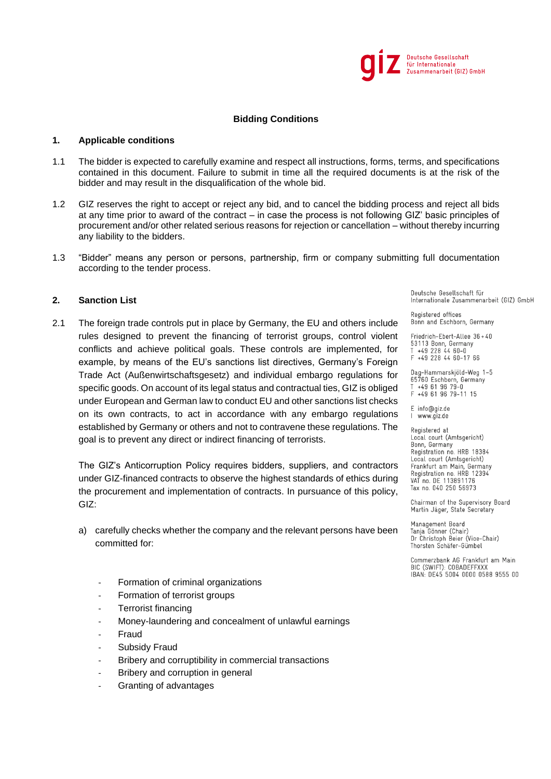

#### **1. Applicable conditions**

- 1.1 The bidder is expected to carefully examine and respect all instructions, forms, terms, and specifications contained in this document. Failure to submit in time all the required documents is at the risk of the bidder and may result in the disqualification of the whole bid.
- 1.2 GIZ reserves the right to accept or reject any bid, and to cancel the bidding process and reject all bids at any time prior to award of the contract – in case the process is not following GIZ' basic principles of procurement and/or other related serious reasons for rejection or cancellation – without thereby incurring any liability to the bidders.
- 1.3 "Bidder" means any person or persons, partnership, firm or company submitting full documentation according to the tender process.

## **2. Sanction List**

2.1 The foreign trade controls put in place by Germany, the EU and others include rules designed to prevent the financing of terrorist groups, control violent conflicts and achieve political goals. These controls are implemented, for example, by means of the EU's sanctions list directives, Germany's Foreign Trade Act (Außenwirtschaftsgesetz) and individual embargo regulations for specific goods. On account of its legal status and contractual ties, GIZ is obliged under European and German law to conduct EU and other sanctions list checks on its own contracts, to act in accordance with any embargo regulations established by Germany or others and not to contravene these regulations. The goal is to prevent any direct or indirect financing of terrorists.

The GIZ's Anticorruption Policy requires bidders, suppliers, and contractors under GIZ-financed contracts to observe the highest standards of ethics during the procurement and implementation of contracts. In pursuance of this policy,  $GIZ$ 

- a) carefully checks whether the company and the relevant persons have been committed for:
	- Formation of criminal organizations
	- Formation of terrorist groups
	- Terrorist financing
	- Money-laundering and concealment of unlawful earnings
	- **Fraud**
	- Subsidy Fraud
	- Bribery and corruptibility in commercial transactions
	- Bribery and corruption in general
	- Granting of advantages

Deutsche Gesellschaft für Internationale Zusammenarbeit (GIZ) GmbH

Registered offices Bonn and Eschborn, Germany

Friedrich-Ebert-Allee 36+40 53113 Bonn, Germany<br>T +49 228 44 60-0 F +49 228 44 60-17 66

Dag-Hammarskjöld-Weg 1-5 bag-hammarskjota-weg<br>65760 Eschborn, Germany<br>T +49 61 96 79-0 F +49 61 96 79-11 15

E info@giz.de I www.giz.de

Registered at Local court (Amtsgericht) Bonn, Germany - - ...., - - .........<br>Registration no. HRB 18384 Local court (Amtsgericht) Frankfurt am Main, Germany<br>Registration no. HRB 12394 VAT no. DE 113891176 Tax no. 040 250 56973

Chairman of the Supervisory Board Martin Jäger, State Secretary

Management Board Tanja Gönner (Chair) Dr Christoph Beier (Vice-Chair) Thorsten Schäfer-Gümbel

Commerzbank AG Frankfurt am Main BIC (SWIFT): COBADEFFXXX<br>IBAN: DE45 5004 0000 0588 9555 00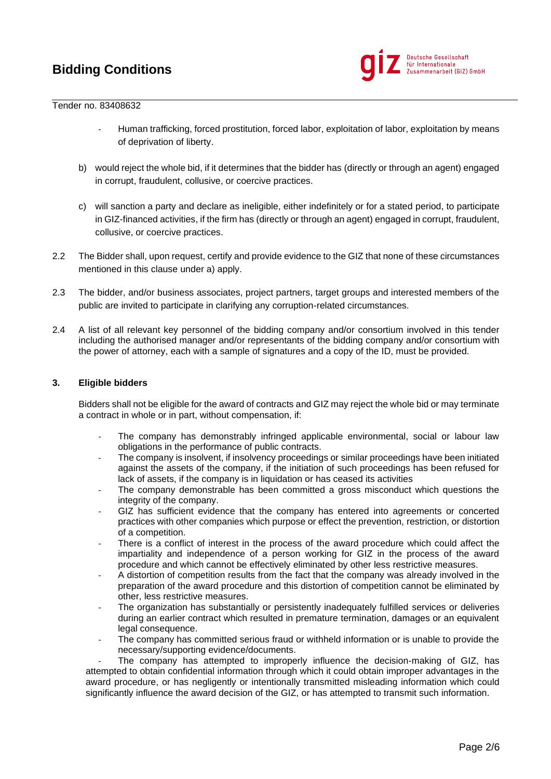

#### Tender no. 83408632

- Human trafficking, forced prostitution, forced labor, exploitation of labor, exploitation by means of deprivation of liberty.
- b) would reject the whole bid, if it determines that the bidder has (directly or through an agent) engaged in corrupt, fraudulent, collusive, or coercive practices.
- c) will sanction a party and declare as ineligible, either indefinitely or for a stated period, to participate in GIZ-financed activities, if the firm has (directly or through an agent) engaged in corrupt, fraudulent, collusive, or coercive practices.
- 2.2 The Bidder shall, upon request, certify and provide evidence to the GIZ that none of these circumstances mentioned in this clause under a) apply.
- 2.3 The bidder, and/or business associates, project partners, target groups and interested members of the public are invited to participate in clarifying any corruption-related circumstances.
- 2.4 A list of all relevant key personnel of the bidding company and/or consortium involved in this tender including the authorised manager and/or representants of the bidding company and/or consortium with the power of attorney, each with a sample of signatures and a copy of the ID, must be provided.

### **3. Eligible bidders**

Bidders shall not be eligible for the award of contracts and GIZ may reject the whole bid or may terminate a contract in whole or in part, without compensation, if:

- The company has demonstrably infringed applicable environmental, social or labour law obligations in the performance of public contracts.
- The company is insolvent, if insolvency proceedings or similar proceedings have been initiated against the assets of the company, if the initiation of such proceedings has been refused for lack of assets, if the company is in liquidation or has ceased its activities
- The company demonstrable has been committed a gross misconduct which questions the integrity of the company.
- GIZ has sufficient evidence that the company has entered into agreements or concerted practices with other companies which purpose or effect the prevention, restriction, or distortion of a competition.
- There is a conflict of interest in the process of the award procedure which could affect the impartiality and independence of a person working for GIZ in the process of the award procedure and which cannot be effectively eliminated by other less restrictive measures.
- A distortion of competition results from the fact that the company was already involved in the preparation of the award procedure and this distortion of competition cannot be eliminated by other, less restrictive measures.
- The organization has substantially or persistently inadequately fulfilled services or deliveries during an earlier contract which resulted in premature termination, damages or an equivalent legal consequence.
- The company has committed serious fraud or withheld information or is unable to provide the necessary/supporting evidence/documents.

The company has attempted to improperly influence the decision-making of GIZ, has attempted to obtain confidential information through which it could obtain improper advantages in the award procedure, or has negligently or intentionally transmitted misleading information which could significantly influence the award decision of the GIZ, or has attempted to transmit such information.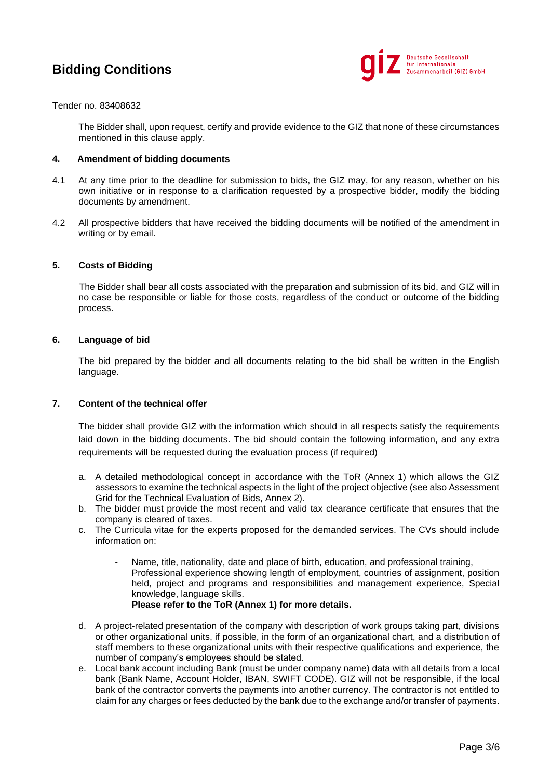

#### Tender no. 83408632

The Bidder shall, upon request, certify and provide evidence to the GIZ that none of these circumstances mentioned in this clause apply.

## **4. Amendment of bidding documents**

- 4.1 At any time prior to the deadline for submission to bids, the GIZ may, for any reason, whether on his own initiative or in response to a clarification requested by a prospective bidder, modify the bidding documents by amendment.
- 4.2 All prospective bidders that have received the bidding documents will be notified of the amendment in writing or by email.

### **5. Costs of Bidding**

The Bidder shall bear all costs associated with the preparation and submission of its bid, and GIZ will in no case be responsible or liable for those costs, regardless of the conduct or outcome of the bidding process.

#### **6. Language of bid**

The bid prepared by the bidder and all documents relating to the bid shall be written in the English language.

## **7. Content of the technical offer**

The bidder shall provide GIZ with the information which should in all respects satisfy the requirements laid down in the bidding documents. The bid should contain the following information, and any extra requirements will be requested during the evaluation process (if required)

- a. A detailed methodological concept in accordance with the ToR (Annex 1) which allows the GIZ assessors to examine the technical aspects in the light of the project objective (see also Assessment Grid for the Technical Evaluation of Bids, Annex 2).
- b. The bidder must provide the most recent and valid tax clearance certificate that ensures that the company is cleared of taxes.
- c. The Curricula vitae for the experts proposed for the demanded services. The CVs should include information on:
	- Name, title, nationality, date and place of birth, education, and professional training, Professional experience showing length of employment, countries of assignment, position held, project and programs and responsibilities and management experience, Special knowledge, language skills. **Please refer to the ToR (Annex 1) for more details.**
- d. A project-related presentation of the company with description of work groups taking part, divisions or other organizational units, if possible, in the form of an organizational chart, and a distribution of staff members to these organizational units with their respective qualifications and experience, the number of company's employees should be stated.
- e. Local bank account including Bank (must be under company name) data with all details from a local bank (Bank Name, Account Holder, IBAN, SWIFT CODE). GIZ will not be responsible, if the local bank of the contractor converts the payments into another currency. The contractor is not entitled to claim for any charges or fees deducted by the bank due to the exchange and/or transfer of payments.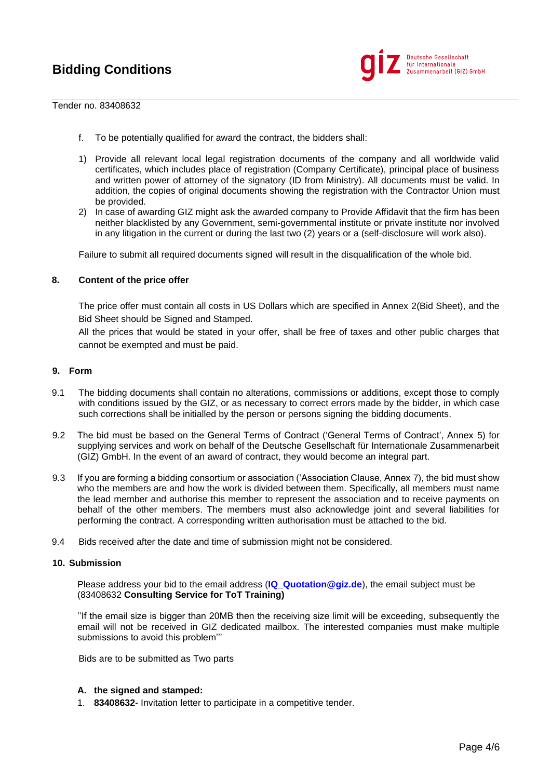

#### Tender no. 83408632

- f. To be potentially qualified for award the contract, the bidders shall:
- 1) Provide all relevant local legal registration documents of the company and all worldwide valid certificates, which includes place of registration (Company Certificate), principal place of business and written power of attorney of the signatory (ID from Ministry). All documents must be valid. In addition, the copies of original documents showing the registration with the Contractor Union must be provided.
- 2) In case of awarding GIZ might ask the awarded company to Provide Affidavit that the firm has been neither blacklisted by any Government, semi-governmental institute or private institute nor involved in any litigation in the current or during the last two (2) years or a (self-disclosure will work also).

Failure to submit all required documents signed will result in the disqualification of the whole bid.

### **8. Content of the price offer**

The price offer must contain all costs in US Dollars which are specified in Annex 2(Bid Sheet), and the Bid Sheet should be Signed and Stamped.

All the prices that would be stated in your offer, shall be free of taxes and other public charges that cannot be exempted and must be paid.

## **9. Form**

- 9.1 The bidding documents shall contain no alterations, commissions or additions, except those to comply with conditions issued by the GIZ, or as necessary to correct errors made by the bidder, in which case such corrections shall be initialled by the person or persons signing the bidding documents.
- 9.2 The bid must be based on the General Terms of Contract ('General Terms of Contract', Annex 5) for supplying services and work on behalf of the Deutsche Gesellschaft für Internationale Zusammenarbeit (GIZ) GmbH. In the event of an award of contract, they would become an integral part.
- 9.3 If you are forming a bidding consortium or association ('Association Clause, Annex 7), the bid must show who the members are and how the work is divided between them. Specifically, all members must name the lead member and authorise this member to represent the association and to receive payments on behalf of the other members. The members must also acknowledge joint and several liabilities for performing the contract. A corresponding written authorisation must be attached to the bid.
- 9.4 Bids received after the date and time of submission might not be considered.

### **10. Submission**

Please address your bid to the email address (**[IQ\\_Quotation@giz.de](mailto:IQ_Quotation@giz.de)**), the email subject must be (83408632 **Consulting Service for ToT Training)**

''If the email size is bigger than 20MB then the receiving size limit will be exceeding, subsequently the email will not be received in GIZ dedicated mailbox. The interested companies must make multiple submissions to avoid this problem'''

Bids are to be submitted as Two parts

### **A. the signed and stamped:**

1. **83408632**- Invitation letter to participate in a competitive tender.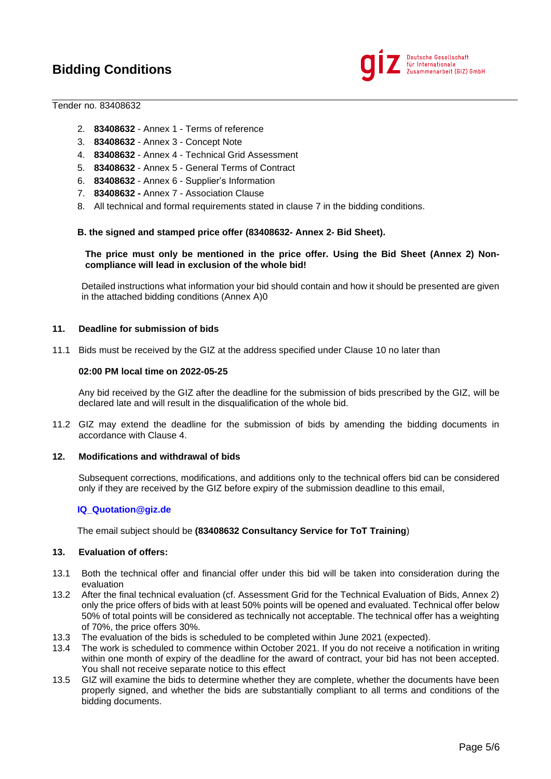

### Tender no. 83408632

- 2. **83408632** Annex 1 Terms of reference
- 3. **83408632** Annex 3 Concept Note
- 4. **83408632** Annex 4 Technical Grid Assessment
- 5. **83408632** Annex 5 General Terms of Contract
- 6. **83408632** Annex 6 Supplier's Information
- 7. **83408632 -** Annex 7 Association Clause
- 8. All technical and formal requirements stated in clause 7 in the bidding conditions.

### **B. the signed and stamped price offer (83408632- Annex 2- Bid Sheet).**

## **The price must only be mentioned in the price offer. Using the Bid Sheet (Annex 2) Noncompliance will lead in exclusion of the whole bid!**

Detailed instructions what information your bid should contain and how it should be presented are given in the attached bidding conditions (Annex A)0

## **11. Deadline for submission of bids**

11.1 Bids must be received by the GIZ at the address specified under Clause 10 no later than

#### **02:00 PM local time on 2022-05-25**

Any bid received by the GIZ after the deadline for the submission of bids prescribed by the GIZ, will be declared late and will result in the disqualification of the whole bid.

11.2 GIZ may extend the deadline for the submission of bids by amending the bidding documents in accordance with Clause 4.

#### **12. Modifications and withdrawal of bids**

Subsequent corrections, modifications, and additions only to the technical offers bid can be considered only if they are received by the GIZ before expiry of the submission deadline to this email,

### **[IQ\\_Quotation@giz.de](mailto:IQ_Quotation@giz.de)**

The email subject should be **(83408632 Consultancy Service for ToT Training**)

#### **13. Evaluation of offers:**

- 13.1 Both the technical offer and financial offer under this bid will be taken into consideration during the evaluation
- 13.2 After the final technical evaluation (cf. Assessment Grid for the Technical Evaluation of Bids, Annex 2) only the price offers of bids with at least 50% points will be opened and evaluated. Technical offer below 50% of total points will be considered as technically not acceptable. The technical offer has a weighting of 70%, the price offers 30%.
- 13.3 The evaluation of the bids is scheduled to be completed within June 2021 (expected).
- 13.4 The work is scheduled to commence within October 2021. If you do not receive a notification in writing within one month of expiry of the deadline for the award of contract, your bid has not been accepted. You shall not receive separate notice to this effect
- 13.5 GIZ will examine the bids to determine whether they are complete, whether the documents have been properly signed, and whether the bids are substantially compliant to all terms and conditions of the bidding documents.